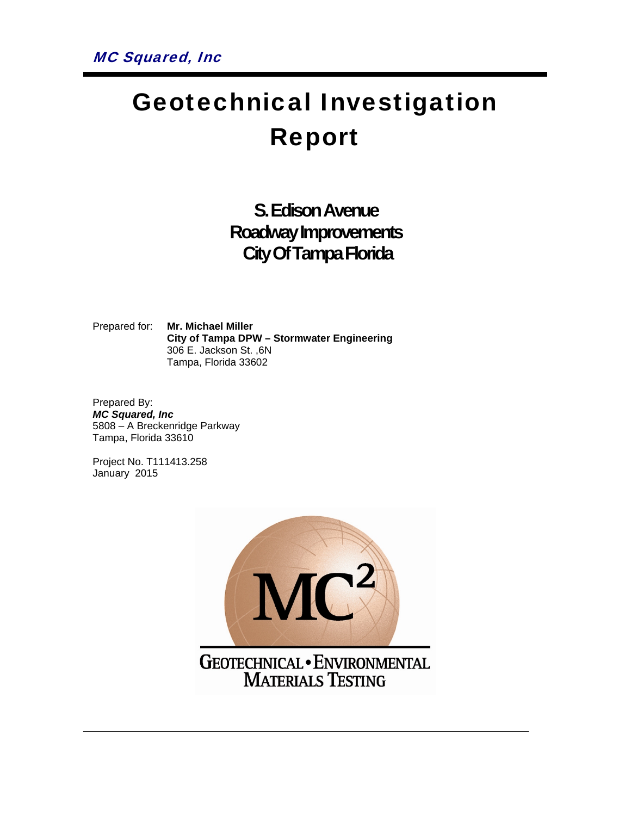# Geotechnical Investigation Report

**S. Edison Avenue Roadway Improvements City Of Tampa Florida**

Prepared for: **Mr. Michael Miller City of Tampa DPW – Stormwater Engineering** 306 E. Jackson St. ,6N Tampa, Florida 33602

Prepared By: *MC Squared, Inc*  5808 – A Breckenridge Parkway Tampa, Florida 33610

Project No. T111413.258 January 2015



MATERIALS TESTING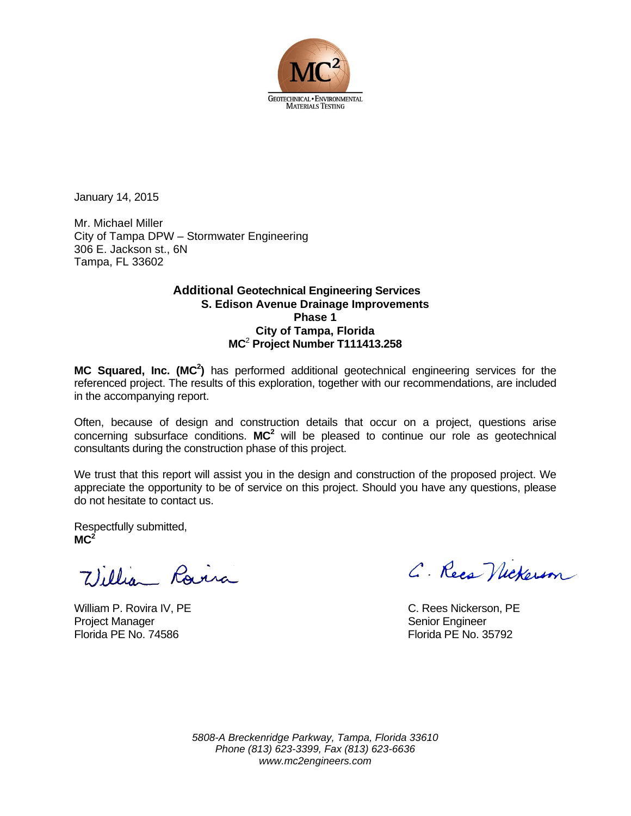

January 14, 2015

Mr. Michael Miller City of Tampa DPW – Stormwater Engineering 306 E. Jackson st., 6N Tampa, FL 33602

#### **Additional Geotechnical Engineering Services S. Edison Avenue Drainage Improvements Phase 1 City of Tampa, Florida MC**<sup>2</sup>  **Project Number T111413.258**

MC Squared, Inc. (MC<sup>2</sup>) has performed additional geotechnical engineering services for the referenced project. The results of this exploration, together with our recommendations, are included in the accompanying report.

Often, because of design and construction details that occur on a project, questions arise concerning subsurface conditions. **MC2** will be pleased to continue our role as geotechnical consultants during the construction phase of this project.

We trust that this report will assist you in the design and construction of the proposed project. We appreciate the opportunity to be of service on this project. Should you have any questions, please do not hesitate to contact us.

Respectfully submitted,  $MC<sup>2</sup>$ 

William P. Rovira IV, PE C. Rees Nickerson, PE Project Manager Senior Engineer Senior Engineer Florida PE No. 74586 Florida PE No. 35792

C. Rees Nickerson

*5808-A Breckenridge Parkway, Tampa, Florida 33610 Phone (813) 623-3399, Fax (813) 623-6636 www.mc2engineers.com*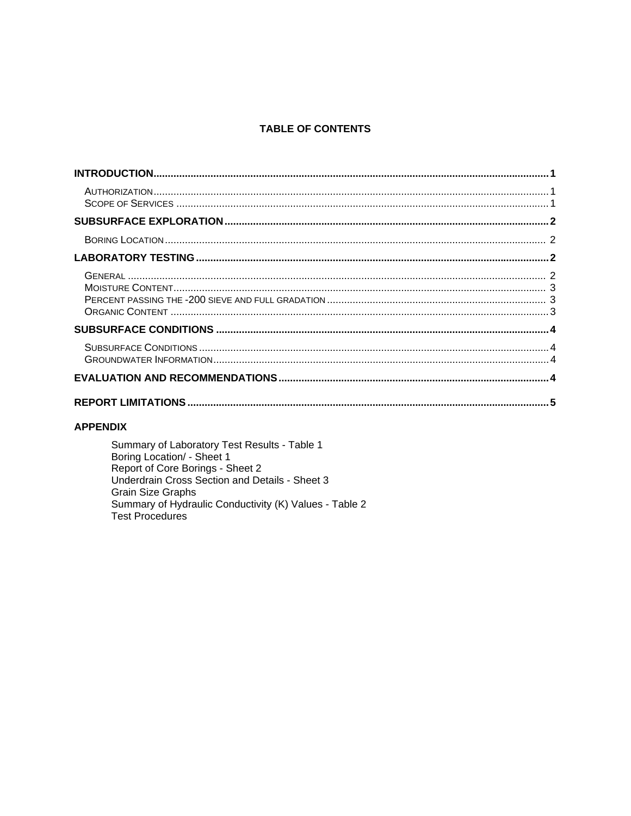#### **TABLE OF CONTENTS**

#### **APPENDIX**

Summary of Laboratory Test Results - Table 1 Boring Location/ - Sheet 1<br>Report of Core Borings - Sheet 2<br>Underdrain Cross Section and Details - Sheet 3 Grain Size Graphs<br>Summary of Hydraulic Conductivity (K) Values - Table 2 Test Procedures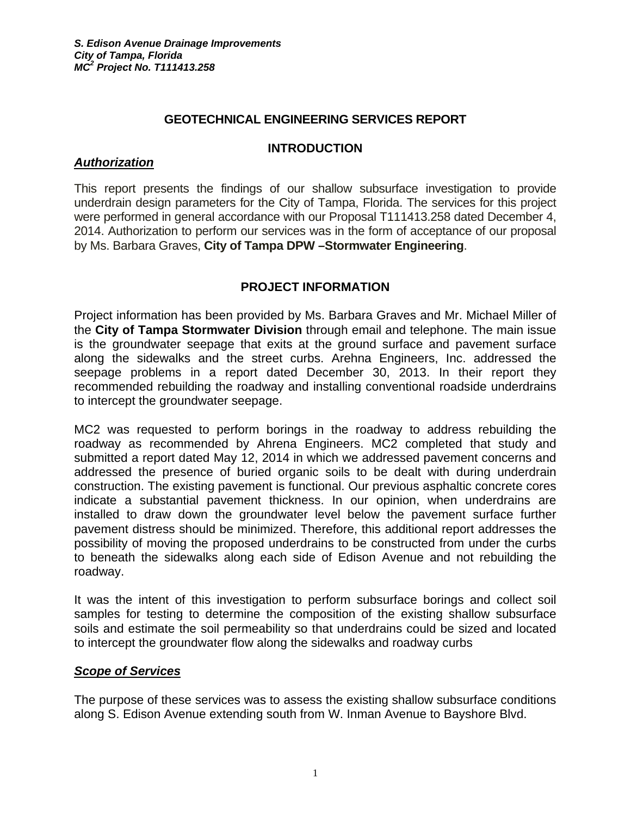#### **GEOTECHNICAL ENGINEERING SERVICES REPORT**

#### **INTRODUCTION**

#### *Authorization*

This report presents the findings of our shallow subsurface investigation to provide underdrain design parameters for the City of Tampa, Florida. The services for this project were performed in general accordance with our Proposal T111413.258 dated December 4, 2014. Authorization to perform our services was in the form of acceptance of our proposal by Ms. Barbara Graves, **City of Tampa DPW –Stormwater Engineering**.

#### **PROJECT INFORMATION**

Project information has been provided by Ms. Barbara Graves and Mr. Michael Miller of the **City of Tampa Stormwater Division** through email and telephone. The main issue is the groundwater seepage that exits at the ground surface and pavement surface along the sidewalks and the street curbs. Arehna Engineers, Inc. addressed the seepage problems in a report dated December 30, 2013. In their report they recommended rebuilding the roadway and installing conventional roadside underdrains to intercept the groundwater seepage.

MC2 was requested to perform borings in the roadway to address rebuilding the roadway as recommended by Ahrena Engineers. MC2 completed that study and submitted a report dated May 12, 2014 in which we addressed pavement concerns and addressed the presence of buried organic soils to be dealt with during underdrain construction. The existing pavement is functional. Our previous asphaltic concrete cores indicate a substantial pavement thickness. In our opinion, when underdrains are installed to draw down the groundwater level below the pavement surface further pavement distress should be minimized. Therefore, this additional report addresses the possibility of moving the proposed underdrains to be constructed from under the curbs to beneath the sidewalks along each side of Edison Avenue and not rebuilding the roadway.

It was the intent of this investigation to perform subsurface borings and collect soil samples for testing to determine the composition of the existing shallow subsurface soils and estimate the soil permeability so that underdrains could be sized and located to intercept the groundwater flow along the sidewalks and roadway curbs

#### *Scope of Services*

The purpose of these services was to assess the existing shallow subsurface conditions along S. Edison Avenue extending south from W. Inman Avenue to Bayshore Blvd.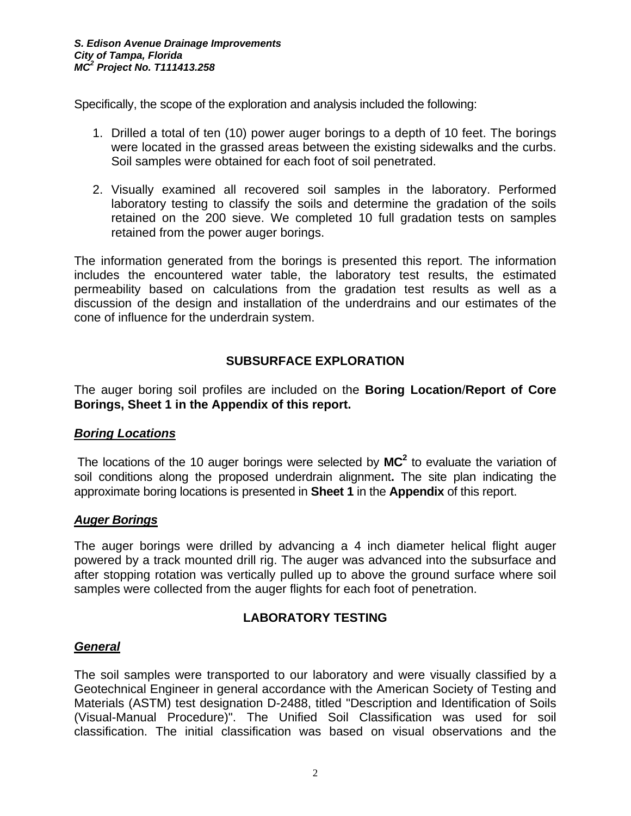Specifically, the scope of the exploration and analysis included the following:

- 1. Drilled a total of ten (10) power auger borings to a depth of 10 feet. The borings were located in the grassed areas between the existing sidewalks and the curbs. Soil samples were obtained for each foot of soil penetrated.
- 2. Visually examined all recovered soil samples in the laboratory. Performed laboratory testing to classify the soils and determine the gradation of the soils retained on the 200 sieve. We completed 10 full gradation tests on samples retained from the power auger borings.

The information generated from the borings is presented this report. The information includes the encountered water table, the laboratory test results, the estimated permeability based on calculations from the gradation test results as well as a discussion of the design and installation of the underdrains and our estimates of the cone of influence for the underdrain system.

## **SUBSURFACE EXPLORATION**

The auger boring soil profiles are included on the **Boring Location**/**Report of Core Borings, Sheet 1 in the Appendix of this report.** 

#### *Boring Locations*

The locations of the 10 auger borings were selected by  $MC^2$  to evaluate the variation of soil conditions along the proposed underdrain alignment**.** The site plan indicating the approximate boring locations is presented in **Sheet 1** in the **Appendix** of this report.

#### *Auger Borings*

The auger borings were drilled by advancing a 4 inch diameter helical flight auger powered by a track mounted drill rig. The auger was advanced into the subsurface and after stopping rotation was vertically pulled up to above the ground surface where soil samples were collected from the auger flights for each foot of penetration.

## **LABORATORY TESTING**

## *General*

The soil samples were transported to our laboratory and were visually classified by a Geotechnical Engineer in general accordance with the American Society of Testing and Materials (ASTM) test designation D-2488, titled "Description and Identification of Soils (Visual-Manual Procedure)". The Unified Soil Classification was used for soil classification. The initial classification was based on visual observations and the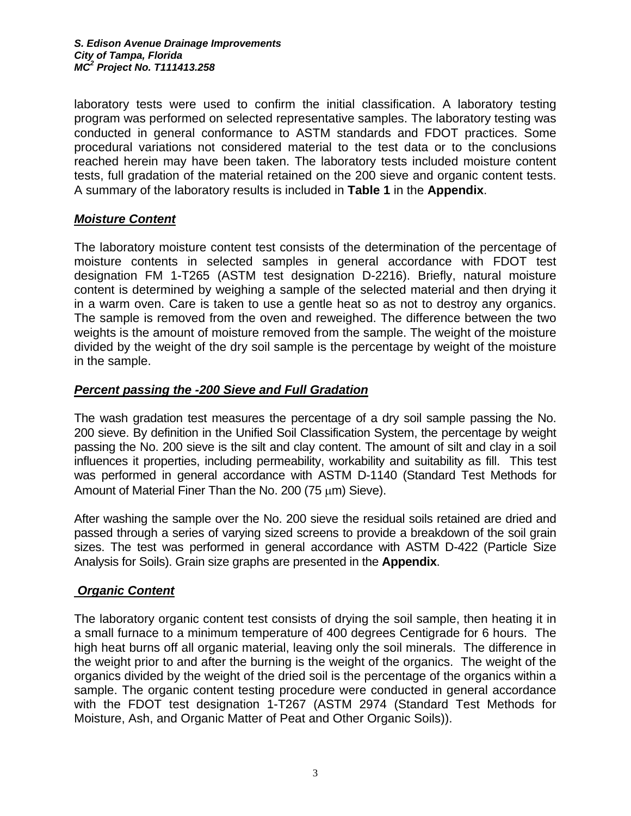laboratory tests were used to confirm the initial classification. A laboratory testing program was performed on selected representative samples. The laboratory testing was conducted in general conformance to ASTM standards and FDOT practices. Some procedural variations not considered material to the test data or to the conclusions reached herein may have been taken. The laboratory tests included moisture content tests, full gradation of the material retained on the 200 sieve and organic content tests. A summary of the laboratory results is included in **Table 1** in the **Appendix**.

## *Moisture Content*

The laboratory moisture content test consists of the determination of the percentage of moisture contents in selected samples in general accordance with FDOT test designation FM 1-T265 (ASTM test designation D-2216). Briefly, natural moisture content is determined by weighing a sample of the selected material and then drying it in a warm oven. Care is taken to use a gentle heat so as not to destroy any organics. The sample is removed from the oven and reweighed. The difference between the two weights is the amount of moisture removed from the sample. The weight of the moisture divided by the weight of the dry soil sample is the percentage by weight of the moisture in the sample.

#### *Percent passing the -200 Sieve and Full Gradation*

The wash gradation test measures the percentage of a dry soil sample passing the No. 200 sieve. By definition in the Unified Soil Classification System, the percentage by weight passing the No. 200 sieve is the silt and clay content. The amount of silt and clay in a soil influences it properties, including permeability, workability and suitability as fill. This test was performed in general accordance with ASTM D-1140 (Standard Test Methods for Amount of Material Finer Than the No. 200 (75 μm) Sieve).

After washing the sample over the No. 200 sieve the residual soils retained are dried and passed through a series of varying sized screens to provide a breakdown of the soil grain sizes. The test was performed in general accordance with ASTM D-422 (Particle Size Analysis for Soils). Grain size graphs are presented in the **Appendix**.

## *Organic Content*

The laboratory organic content test consists of drying the soil sample, then heating it in a small furnace to a minimum temperature of 400 degrees Centigrade for 6 hours. The high heat burns off all organic material, leaving only the soil minerals. The difference in the weight prior to and after the burning is the weight of the organics. The weight of the organics divided by the weight of the dried soil is the percentage of the organics within a sample. The organic content testing procedure were conducted in general accordance with the FDOT test designation 1-T267 (ASTM 2974 (Standard Test Methods for Moisture, Ash, and Organic Matter of Peat and Other Organic Soils)).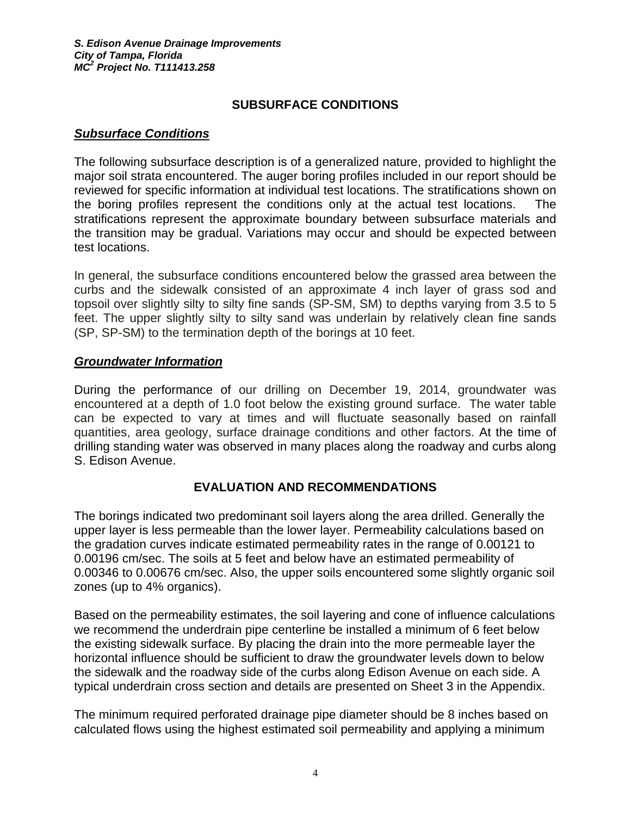## **SUBSURFACE CONDITIONS**

#### *Subsurface Conditions*

The following subsurface description is of a generalized nature, provided to highlight the major soil strata encountered. The auger boring profiles included in our report should be reviewed for specific information at individual test locations. The stratifications shown on the boring profiles represent the conditions only at the actual test locations. The stratifications represent the approximate boundary between subsurface materials and the transition may be gradual. Variations may occur and should be expected between test locations.

In general, the subsurface conditions encountered below the grassed area between the curbs and the sidewalk consisted of an approximate 4 inch layer of grass sod and topsoil over slightly silty to silty fine sands (SP-SM, SM) to depths varying from 3.5 to 5 feet. The upper slightly silty to silty sand was underlain by relatively clean fine sands (SP, SP-SM) to the termination depth of the borings at 10 feet.

#### *Groundwater Information*

During the performance of our drilling on December 19, 2014, groundwater was encountered at a depth of 1.0 foot below the existing ground surface. The water table can be expected to vary at times and will fluctuate seasonally based on rainfall quantities, area geology, surface drainage conditions and other factors. At the time of drilling standing water was observed in many places along the roadway and curbs along S. Edison Avenue.

#### **EVALUATION AND RECOMMENDATIONS**

The borings indicated two predominant soil layers along the area drilled. Generally the upper layer is less permeable than the lower layer. Permeability calculations based on the gradation curves indicate estimated permeability rates in the range of 0.00121 to 0.00196 cm/sec. The soils at 5 feet and below have an estimated permeability of 0.00346 to 0.00676 cm/sec. Also, the upper soils encountered some slightly organic soil zones (up to 4% organics).

Based on the permeability estimates, the soil layering and cone of influence calculations we recommend the underdrain pipe centerline be installed a minimum of 6 feet below the existing sidewalk surface. By placing the drain into the more permeable layer the horizontal influence should be sufficient to draw the groundwater levels down to below the sidewalk and the roadway side of the curbs along Edison Avenue on each side. A typical underdrain cross section and details are presented on Sheet 3 in the Appendix.

The minimum required perforated drainage pipe diameter should be 8 inches based on calculated flows using the highest estimated soil permeability and applying a minimum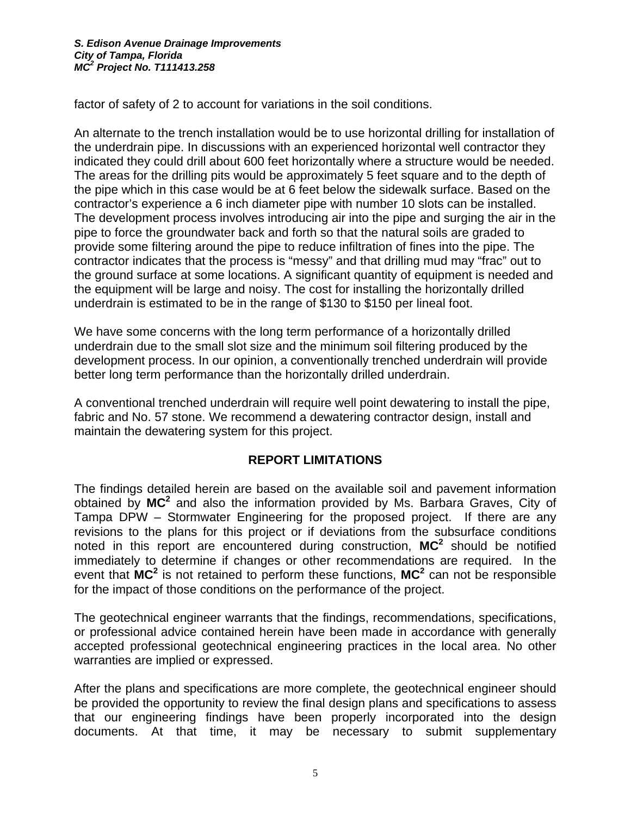factor of safety of 2 to account for variations in the soil conditions.

An alternate to the trench installation would be to use horizontal drilling for installation of the underdrain pipe. In discussions with an experienced horizontal well contractor they indicated they could drill about 600 feet horizontally where a structure would be needed. The areas for the drilling pits would be approximately 5 feet square and to the depth of the pipe which in this case would be at 6 feet below the sidewalk surface. Based on the contractor's experience a 6 inch diameter pipe with number 10 slots can be installed. The development process involves introducing air into the pipe and surging the air in the pipe to force the groundwater back and forth so that the natural soils are graded to provide some filtering around the pipe to reduce infiltration of fines into the pipe. The contractor indicates that the process is "messy" and that drilling mud may "frac" out to the ground surface at some locations. A significant quantity of equipment is needed and the equipment will be large and noisy. The cost for installing the horizontally drilled underdrain is estimated to be in the range of \$130 to \$150 per lineal foot.

We have some concerns with the long term performance of a horizontally drilled underdrain due to the small slot size and the minimum soil filtering produced by the development process. In our opinion, a conventionally trenched underdrain will provide better long term performance than the horizontally drilled underdrain.

A conventional trenched underdrain will require well point dewatering to install the pipe, fabric and No. 57 stone. We recommend a dewatering contractor design, install and maintain the dewatering system for this project.

#### **REPORT LIMITATIONS**

The findings detailed herein are based on the available soil and pavement information obtained by MC<sup>2</sup> and also the information provided by Ms. Barbara Graves, City of Tampa DPW – Stormwater Engineering for the proposed project. If there are any revisions to the plans for this project or if deviations from the subsurface conditions noted in this report are encountered during construction, MC<sup>2</sup> should be notified immediately to determine if changes or other recommendations are required. In the event that MC<sup>2</sup> is not retained to perform these functions, MC<sup>2</sup> can not be responsible for the impact of those conditions on the performance of the project.

The geotechnical engineer warrants that the findings, recommendations, specifications, or professional advice contained herein have been made in accordance with generally accepted professional geotechnical engineering practices in the local area. No other warranties are implied or expressed.

After the plans and specifications are more complete, the geotechnical engineer should be provided the opportunity to review the final design plans and specifications to assess that our engineering findings have been properly incorporated into the design documents. At that time, it may be necessary to submit supplementary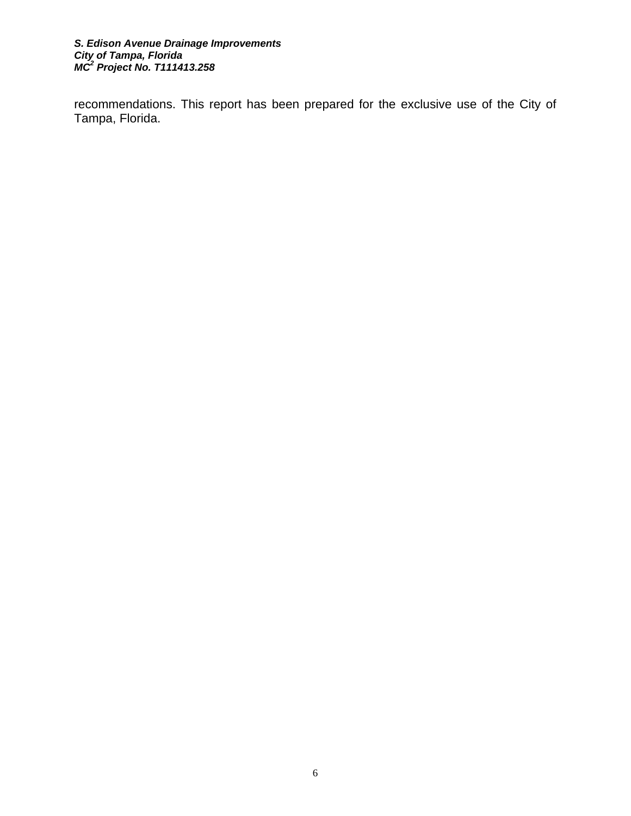#### *S. Edison Avenue Drainage Improvements City of Tampa, Florida MC<sup>2</sup> Project No. T111413.258*

recommendations. This report has been prepared for the exclusive use of the City of Tampa, Florida.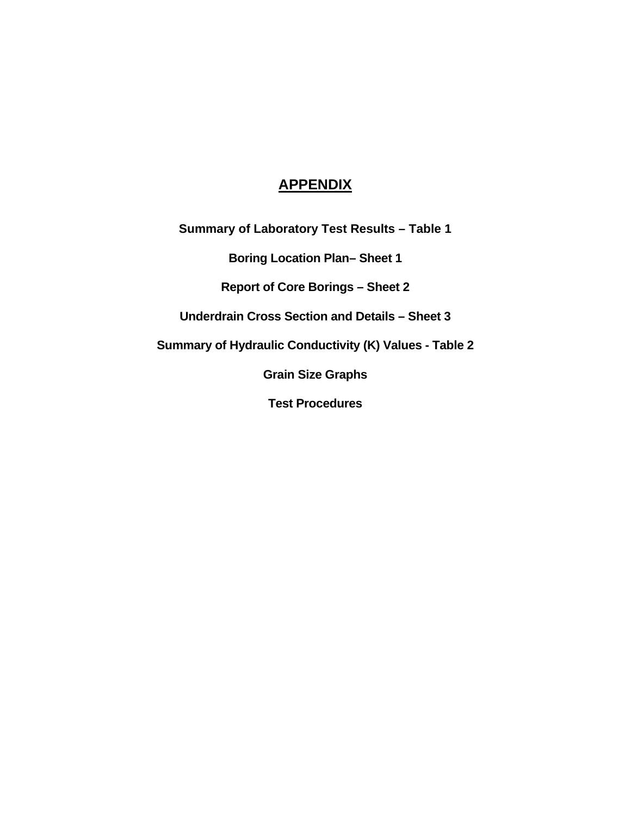## **APPENDIX**

**Summary of Laboratory Test Results – Table 1** 

**Boring Location Plan– Sheet 1** 

**Report of Core Borings – Sheet 2** 

**Underdrain Cross Section and Details – Sheet 3** 

**Summary of Hydraulic Conductivity (K) Values - Table 2** 

**Grain Size Graphs** 

**Test Procedures**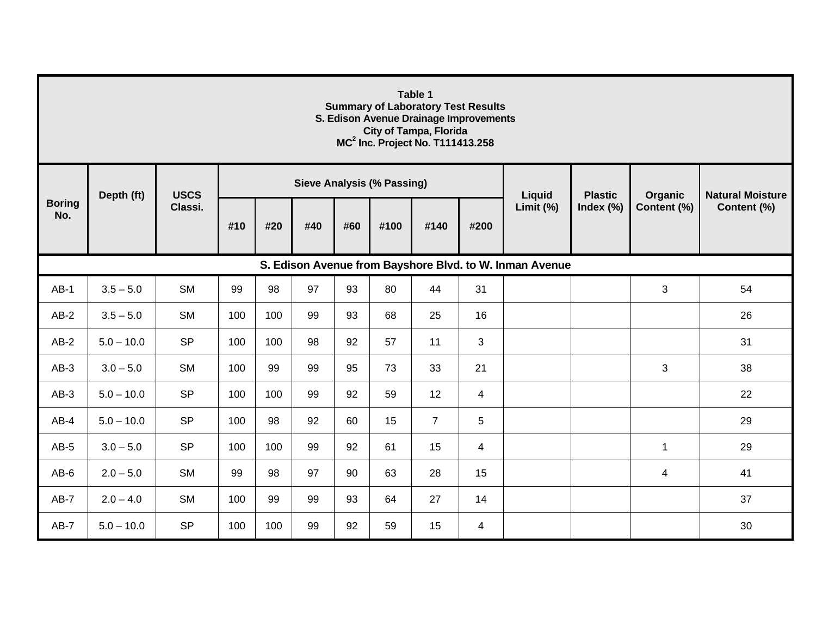| Table 1<br><b>Summary of Laboratory Test Results</b><br>S. Edison Avenue Drainage Improvements<br><b>City of Tampa, Florida</b><br>MC <sup>2</sup> Inc. Project No. T111413.258 |              |             |     |     |     |     |                                   |                |      |           |                |                        |                         |
|---------------------------------------------------------------------------------------------------------------------------------------------------------------------------------|--------------|-------------|-----|-----|-----|-----|-----------------------------------|----------------|------|-----------|----------------|------------------------|-------------------------|
|                                                                                                                                                                                 | Depth (ft)   | <b>USCS</b> |     |     |     |     | <b>Sieve Analysis (% Passing)</b> |                |      | Liquid    | <b>Plastic</b> | Organic<br>Content (%) | <b>Natural Moisture</b> |
| <b>Boring</b><br>No.                                                                                                                                                            |              | Classi.     | #10 | #20 | #40 | #60 | #100                              | #140           | #200 | Limit (%) | Index (%)      |                        | Content (%)             |
| S. Edison Avenue from Bayshore Blvd. to W. Inman Avenue                                                                                                                         |              |             |     |     |     |     |                                   |                |      |           |                |                        |                         |
| $AB-1$                                                                                                                                                                          | $3.5 - 5.0$  | <b>SM</b>   | 99  | 98  | 97  | 93  | 80                                | 44             | 31   |           |                | 3                      | 54                      |
| $AB-2$                                                                                                                                                                          | $3.5 - 5.0$  | <b>SM</b>   | 100 | 100 | 99  | 93  | 68                                | 25             | 16   |           |                |                        | 26                      |
| $AB-2$                                                                                                                                                                          | $5.0 - 10.0$ | <b>SP</b>   | 100 | 100 | 98  | 92  | 57                                | 11             | 3    |           |                |                        | 31                      |
| $AB-3$                                                                                                                                                                          | $3.0 - 5.0$  | <b>SM</b>   | 100 | 99  | 99  | 95  | 73                                | 33             | 21   |           |                | 3                      | 38                      |
| $AB-3$                                                                                                                                                                          | $5.0 - 10.0$ | <b>SP</b>   | 100 | 100 | 99  | 92  | 59                                | 12             | 4    |           |                |                        | 22                      |
| $AB-4$                                                                                                                                                                          | $5.0 - 10.0$ | <b>SP</b>   | 100 | 98  | 92  | 60  | 15                                | $\overline{7}$ | 5    |           |                |                        | 29                      |
| $AB-5$                                                                                                                                                                          | $3.0 - 5.0$  | <b>SP</b>   | 100 | 100 | 99  | 92  | 61                                | 15             | 4    |           |                | $\mathbf{1}$           | 29                      |
| $AB-6$                                                                                                                                                                          | $2.0 - 5.0$  | <b>SM</b>   | 99  | 98  | 97  | 90  | 63                                | 28             | 15   |           |                | 4                      | 41                      |
| $AB-7$                                                                                                                                                                          | $2.0 - 4.0$  | <b>SM</b>   | 100 | 99  | 99  | 93  | 64                                | 27             | 14   |           |                |                        | 37                      |
| $AB-7$                                                                                                                                                                          | $5.0 - 10.0$ | <b>SP</b>   | 100 | 100 | 99  | 92  | 59                                | 15             | 4    |           |                |                        | 30                      |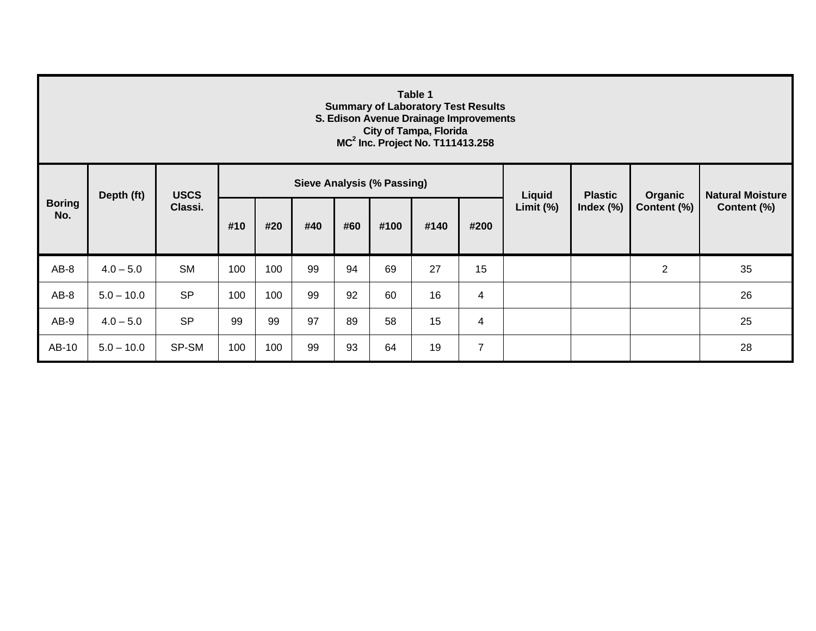| Table 1<br><b>Summary of Laboratory Test Results</b><br>S. Edison Avenue Drainage Improvements<br><b>City of Tampa, Florida</b><br>MC <sup>2</sup> Inc. Project No. T111413.258 |              |             |     |     |     |     |                                   |      |                |           |                                |                        |                         |  |
|---------------------------------------------------------------------------------------------------------------------------------------------------------------------------------|--------------|-------------|-----|-----|-----|-----|-----------------------------------|------|----------------|-----------|--------------------------------|------------------------|-------------------------|--|
|                                                                                                                                                                                 | Depth (ft)   | <b>USCS</b> |     |     |     |     | <b>Sieve Analysis (% Passing)</b> |      |                | Liquid    | <b>Plastic</b><br>Index $(\%)$ | Organic<br>Content (%) | <b>Natural Moisture</b> |  |
| <b>Boring</b><br>No.                                                                                                                                                            |              | Classi.     | #10 | #20 | #40 | #60 | #100                              | #140 | #200           | Limit (%) |                                |                        | Content (%)             |  |
| $AB-8$                                                                                                                                                                          | $4.0 - 5.0$  | <b>SM</b>   | 100 | 100 | 99  | 94  | 69                                | 27   | 15             |           |                                | $\overline{2}$         | 35                      |  |
| $AB-8$                                                                                                                                                                          | $5.0 - 10.0$ | <b>SP</b>   | 100 | 100 | 99  | 92  | 60                                | 16   | 4              |           |                                |                        | 26                      |  |
| AB-9                                                                                                                                                                            | $4.0 - 5.0$  | <b>SP</b>   | 99  | 99  | 97  | 89  | 58                                | 15   | 4              |           |                                |                        | 25                      |  |
| AB-10                                                                                                                                                                           | $5.0 - 10.0$ | SP-SM       | 100 | 100 | 99  | 93  | 64                                | 19   | $\overline{7}$ |           |                                |                        | 28                      |  |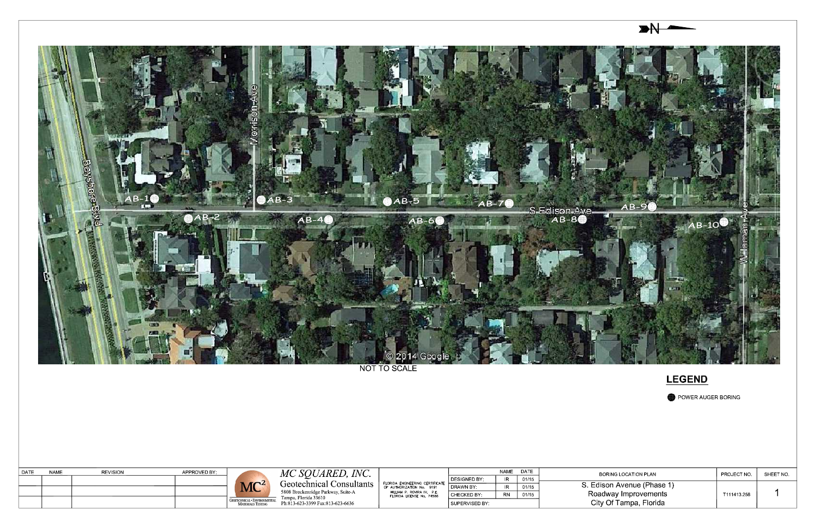

NOT TO SCALE

| <b>DATE</b> | <b>NAME</b> | <b>REVISION</b> | APPROVED BY: | $MC^2$                                                          | INC.<br>$\angle SOU$<br>MC<br>JARED<br>Geotechnical Consultants<br>5808 Breckenridge Parkway, Suite-A<br>Tampa, Florida 33610 | FLORIDA ENGINEERING CERTIFICATE<br>OF AUTHORIZATION No. 9191<br>WILLIAM P. ROVIRA IV, P.E.<br>FLORIDA LICENSE No. 74586 | DESIGNED BY<br>l DRAWN BY :<br>CHECKED BY | <b>NAME</b><br><b>IR</b><br>IR.<br>RN | <b>DATE</b><br>01/15<br>01/15<br>01/15 |
|-------------|-------------|-----------------|--------------|-----------------------------------------------------------------|-------------------------------------------------------------------------------------------------------------------------------|-------------------------------------------------------------------------------------------------------------------------|-------------------------------------------|---------------------------------------|----------------------------------------|
|             |             |                 |              | <b>GEOTECHNICAL · ENVIRONMENTAL</b><br><b>MATERIALS TESTING</b> | Ph:813-623-3399 Fax:813-623-6636                                                                                              |                                                                                                                         | SUPERVISED BY                             |                                       |                                        |

**LEGEND** 

POWER AUGER BORING

| BORING LOCATION PLAN                                                         | PROJECT NO. | SHEET NO |
|------------------------------------------------------------------------------|-------------|----------|
| S. Edison Avenue (Phase 1)<br>Roadway Improvements<br>City Of Tampa, Florida | T111413.258 |          |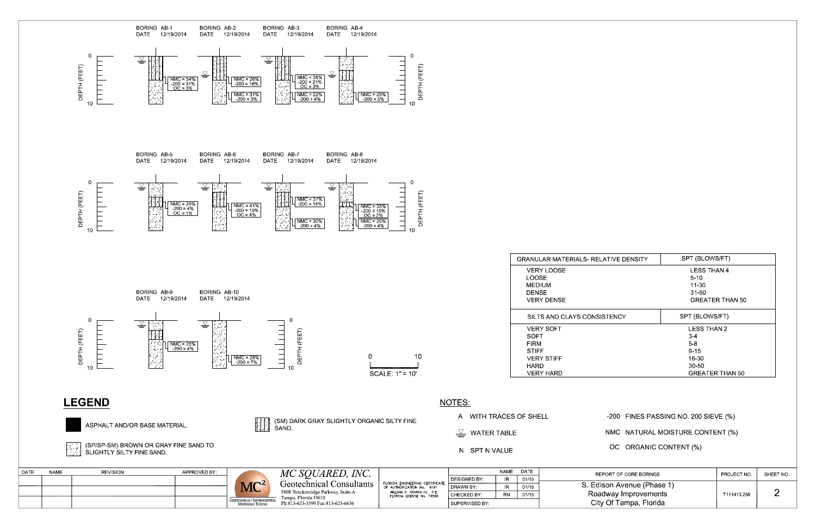

Ph:813-623-3399 Fax:813-623-6636

SUPERVISED BY:

| <b>LESS THAN 4</b><br>$5 - 10$<br>11-30<br>31-50<br><b>GREATER THAN 50</b> |                                              |   |  |  |  |  |
|----------------------------------------------------------------------------|----------------------------------------------|---|--|--|--|--|
| <b>DNSISTENCY</b>                                                          | SPT (BLOWS/FT)                               |   |  |  |  |  |
|                                                                            | <b>LESS THAN 2</b><br><b>GREATER THAN 50</b> |   |  |  |  |  |
|                                                                            | -200 FINES PASSING NO. 200 SIEVE (%)         |   |  |  |  |  |
|                                                                            | NMC NATURAL MOISTURE CONTENT (%)             |   |  |  |  |  |
| OC ORGANIC CONTENT (%)                                                     |                                              |   |  |  |  |  |
| REPORT OF CORE BORINGS                                                     | PROJECT NO<br>SHEET NO.                      |   |  |  |  |  |
| Edison Avenue (Phase 1)<br>Roadway Improvements<br>City Of Tampa, Florida  | T111413 258                                  | 2 |  |  |  |  |

SPT (BLOWS/FT)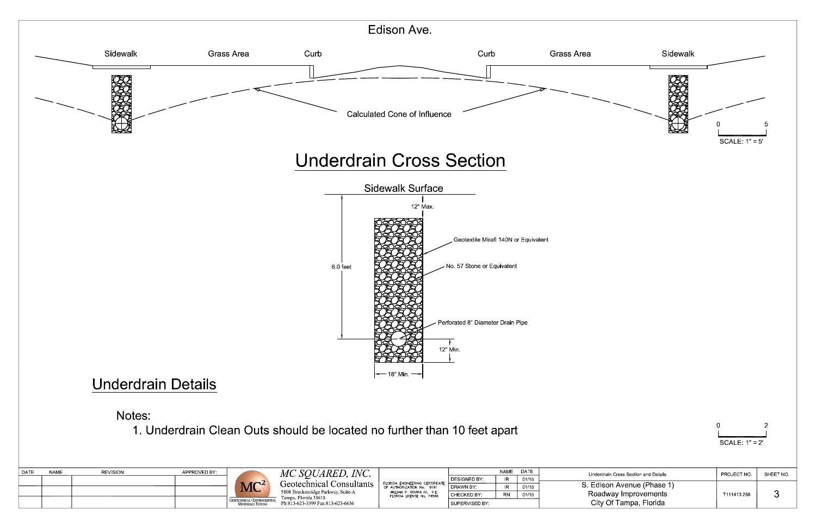

# Notes:

1. Underdrain Clean Outs should be located no further than 10 feet apart

| <b>DATE</b> | <b>NAME</b> | <b>REVISION</b> | APPROVED BY |                          | MC SOUARED, INC.                                               |                                                                                             |                       | <b>NAME</b>          | DATE        | Underdrain Cross Section and Details | PROJECT NO | SHEET NO               |
|-------------|-------------|-----------------|-------------|--------------------------|----------------------------------------------------------------|---------------------------------------------------------------------------------------------|-----------------------|----------------------|-------------|--------------------------------------|------------|------------------------|
|             |             |                 |             |                          |                                                                |                                                                                             | DESIGNED BY           |                      |             |                                      |            |                        |
|             |             |                 |             | MC <sup>2</sup>          | Geotechnical Consultants<br>5808 Breckenridge Parkway, Suite-A | ' FLORIDA ENGINEERING CERTIFICATE<br>OF AUTHORIZATION No.                                   | <sup>I</sup> DRAWN BY | <b>ID</b>            | 01/15       | S. Edison Avenue (Phase 1)           |            |                        |
|             |             |                 |             |                          |                                                                | WILLIAM P. ROVIRA IV, P.E.<br>CHECKED BY<br><b>RN</b><br>01/15<br>FLORIDA LICENSE No. 74586 |                       | Roadway Improvements | T111413 258 |                                      |            |                        |
|             |             |                 |             | <b>MATERIALS TESTING</b> | ampa. Florida 33610 -<br>Ph:813-623-3399 Fax:813-623-6636      |                                                                                             | SUPERVISED BY         |                      |             |                                      |            | City Of Tampa, Florida |

| 0               |  |
|-----------------|--|
|                 |  |
| SCALE $1" = 2'$ |  |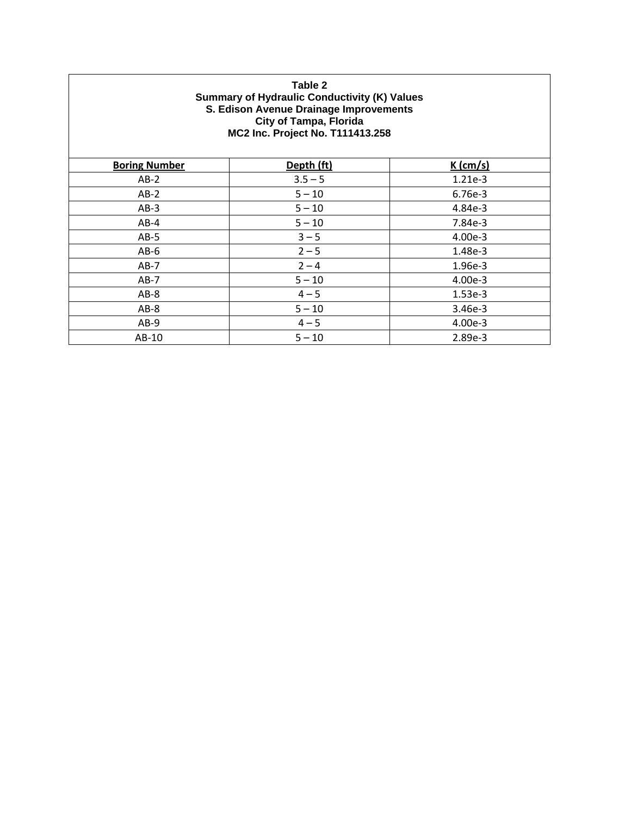#### **Table 2 Summary of Hydraulic Conductivity (K) Values S. Edison Avenue Drainage Improvements City of Tampa, Florida MC2 Inc. Project No. T111413.258**

| <b>Boring Number</b> | Depth (ft) | $K$ (cm/s) |  |
|----------------------|------------|------------|--|
| $AB-2$               | $3.5 - 5$  | 1.21e-3    |  |
| $AB-2$               | $5 - 10$   | 6.76e-3    |  |
| $AB-3$               | $5 - 10$   | 4.84e-3    |  |
| $AB-4$               | $5 - 10$   | 7.84e-3    |  |
| $AB-5$               | $3 - 5$    | 4.00e-3    |  |
| $AB-6$               | $2 - 5$    | 1.48e-3    |  |
| $AB-7$               | $2 - 4$    | 1.96e-3    |  |
| $AB-7$               | $5 - 10$   | 4.00e-3    |  |
| $AB-8$               | $4 - 5$    | $1.53e-3$  |  |
| $AB-8$               | $5 - 10$   | 3.46e-3    |  |
| $AB-9$               | $4 - 5$    | 4.00e-3    |  |
| AB-10                | $5 - 10$   | 2.89e-3    |  |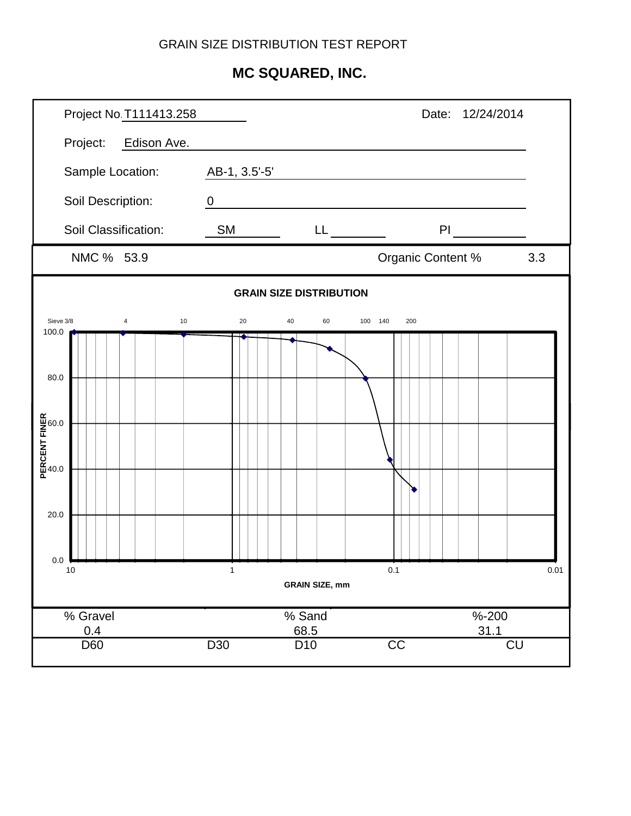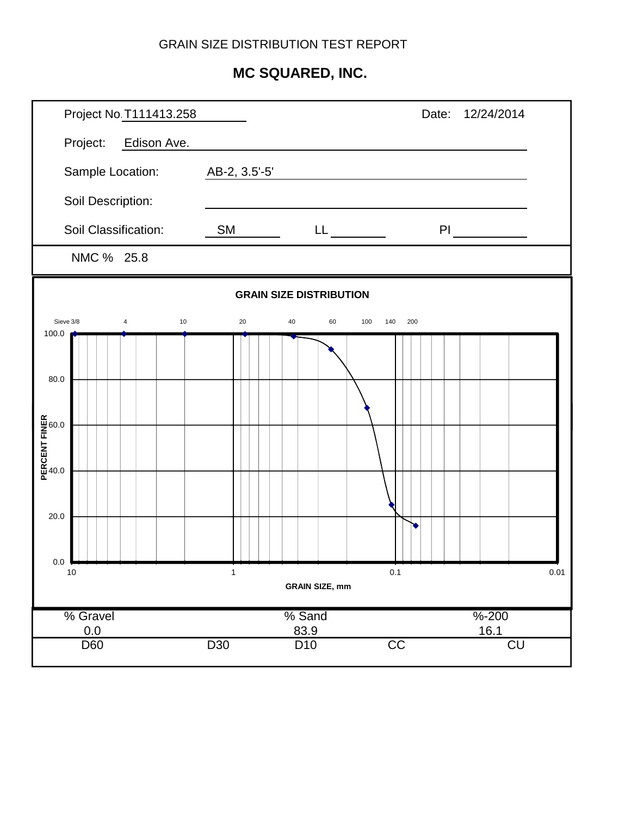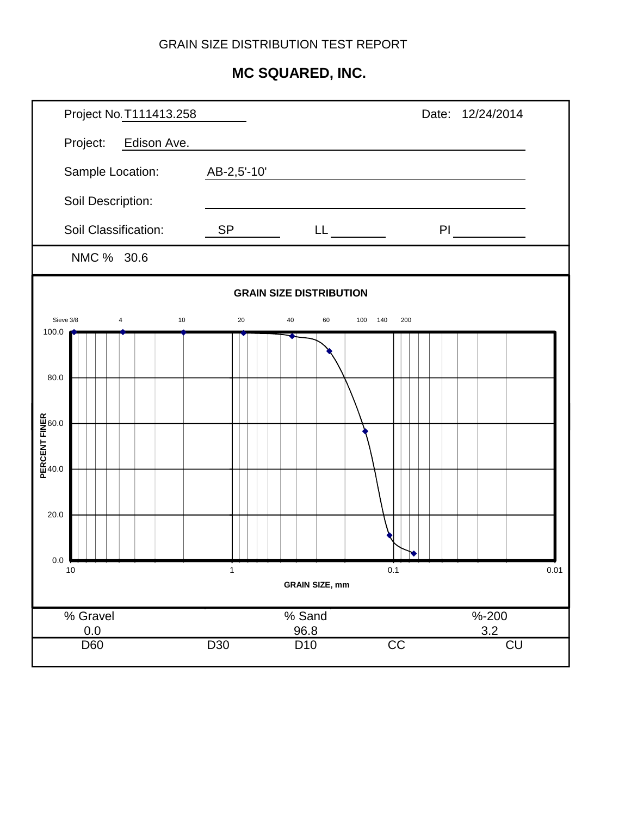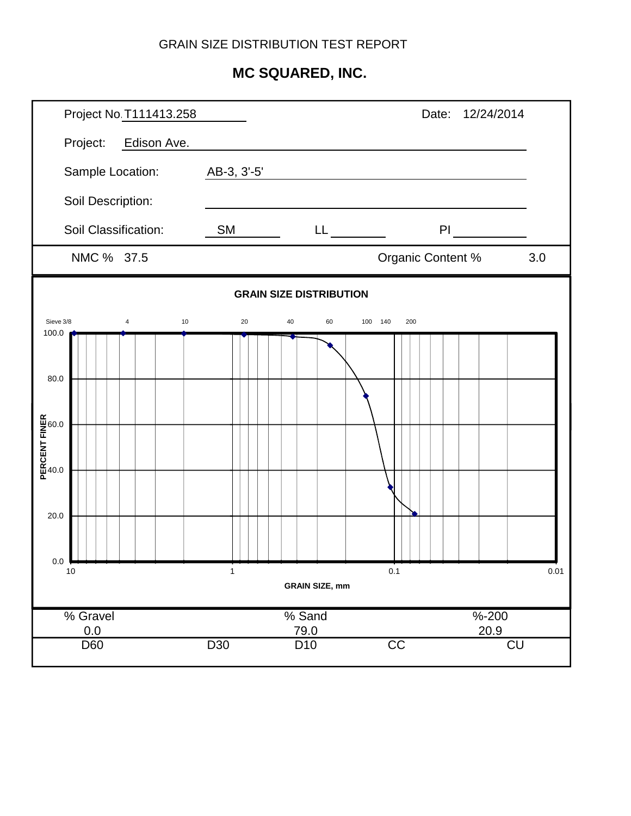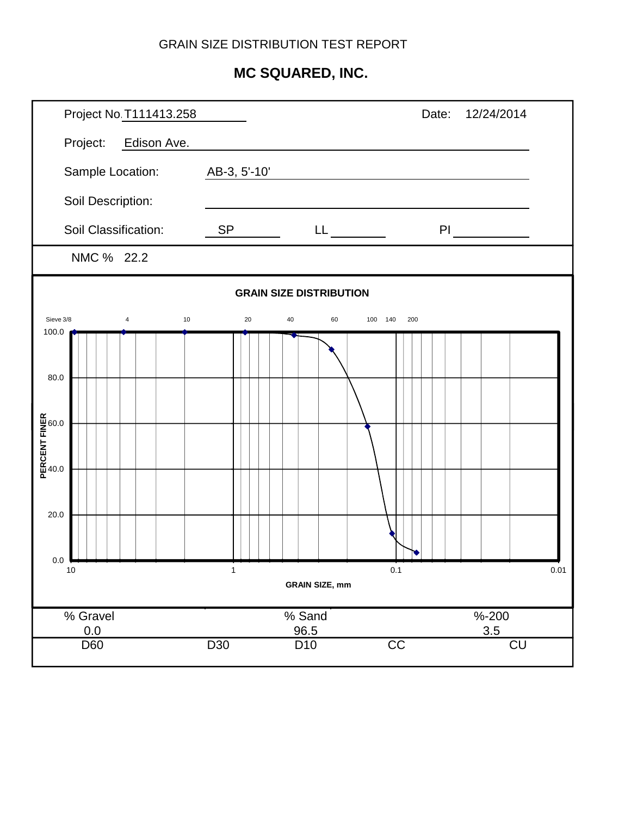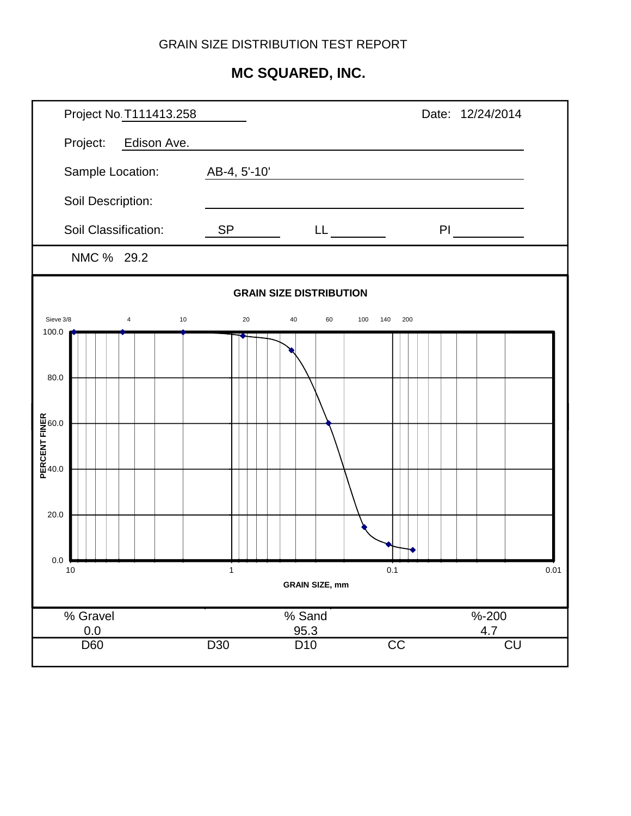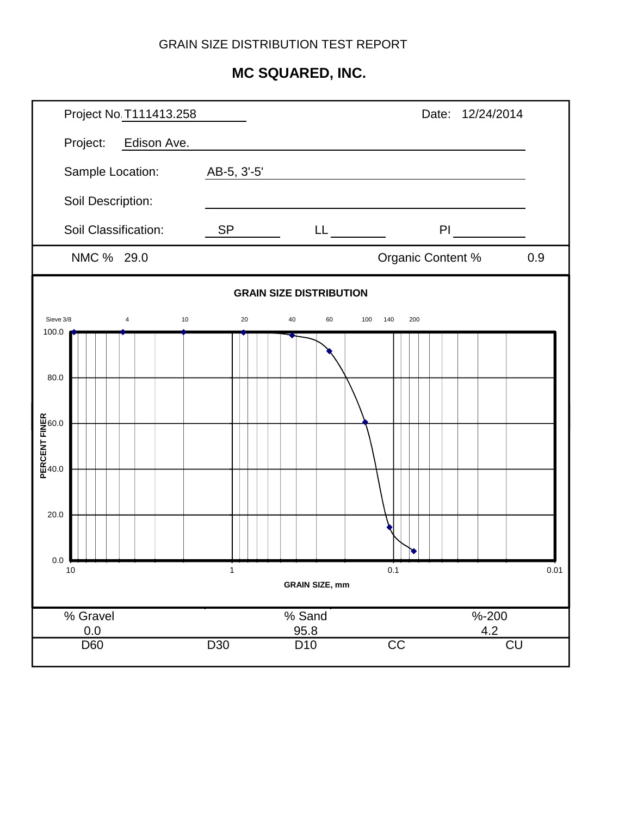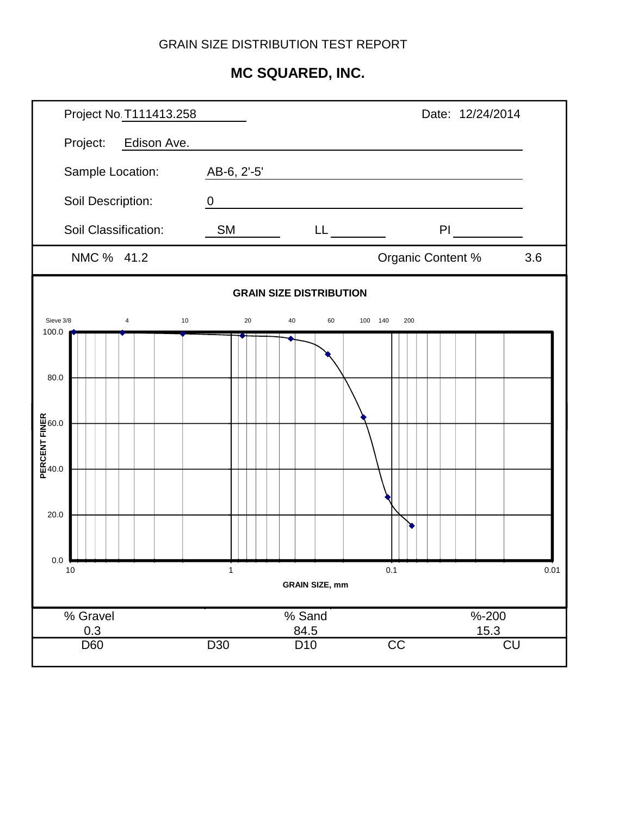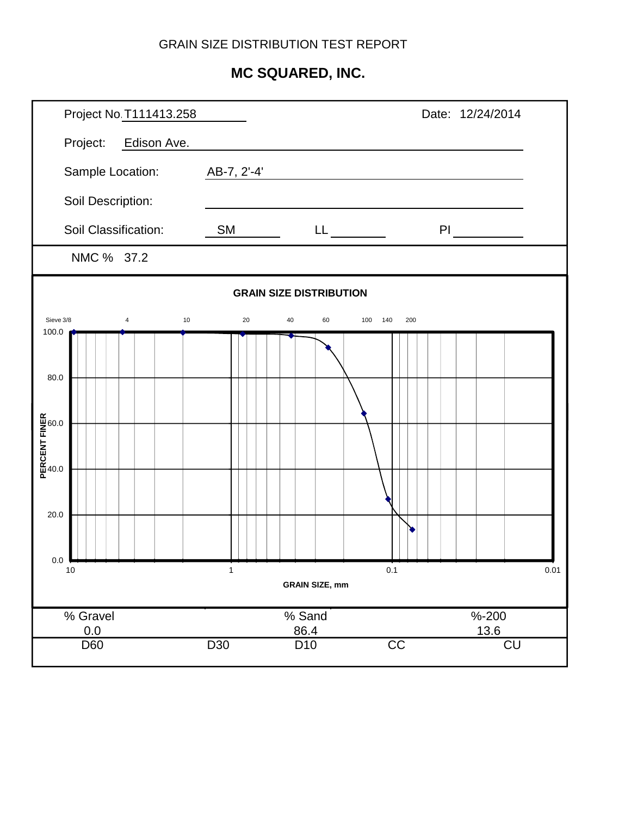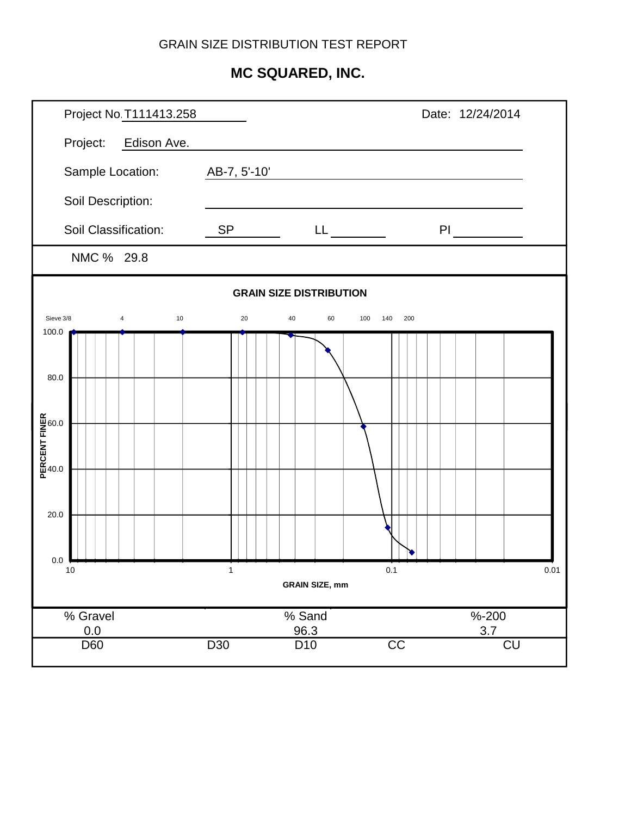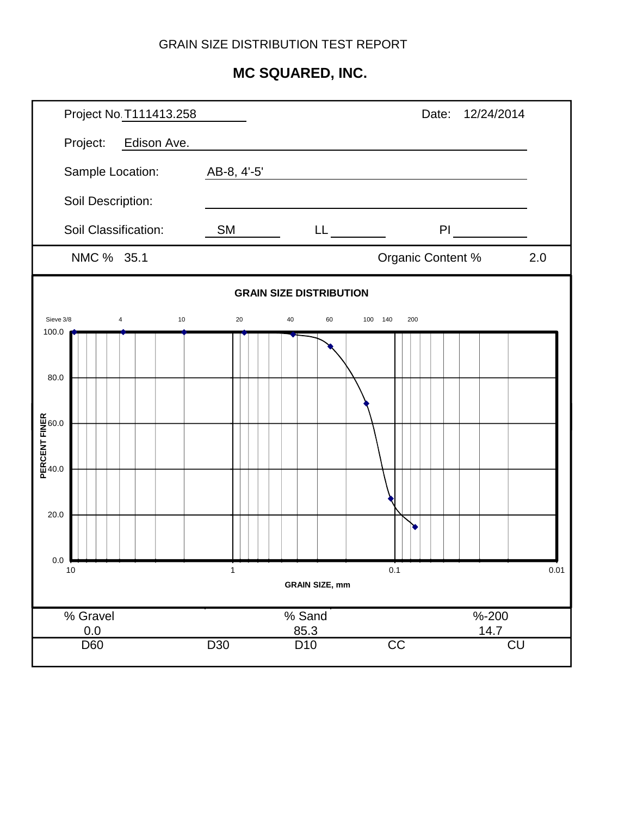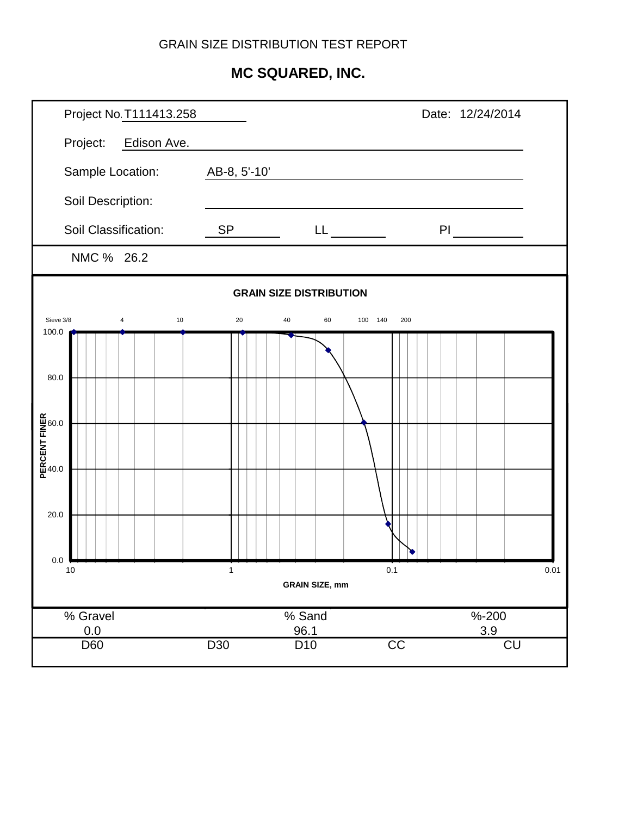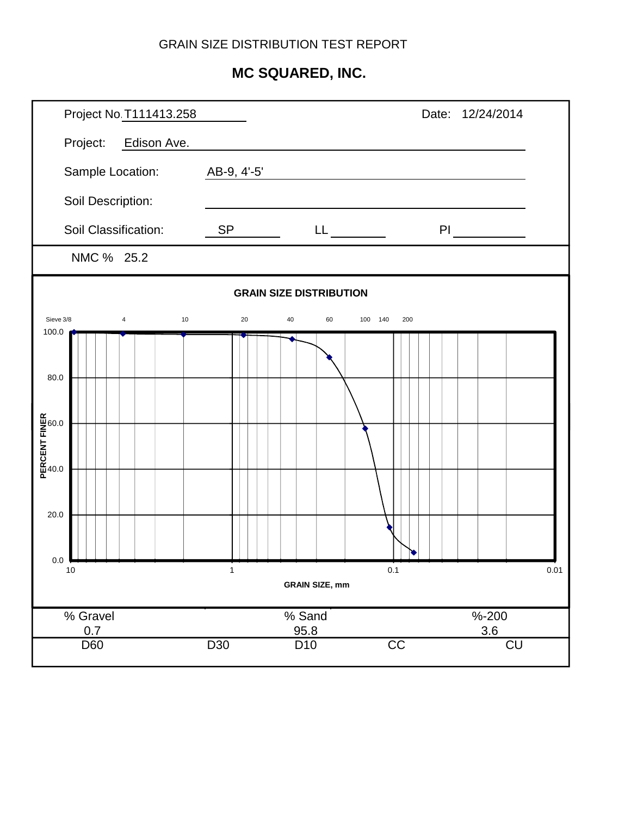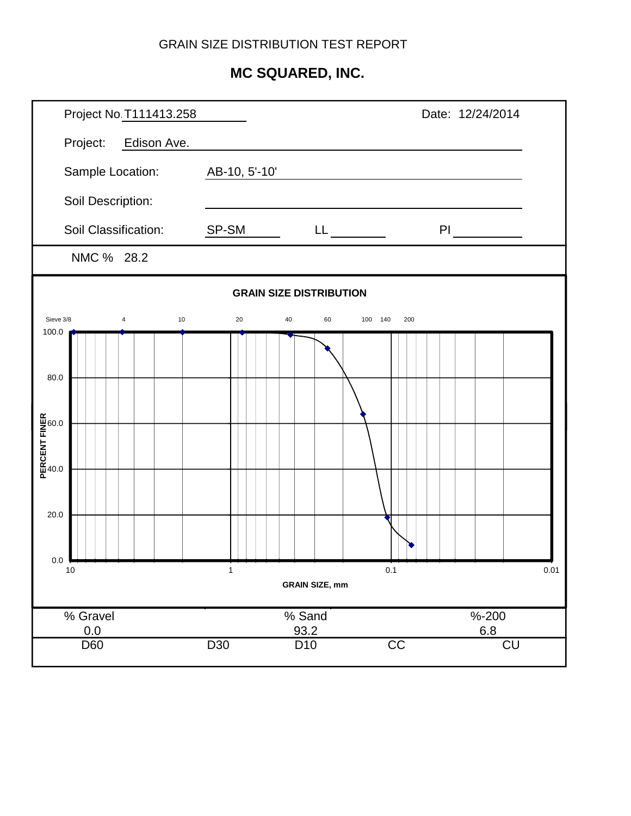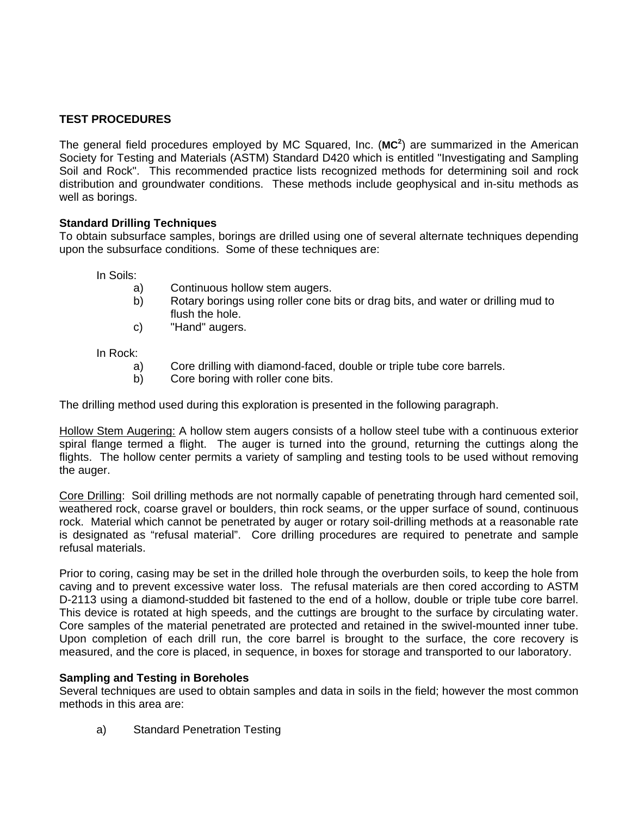#### **TEST PROCEDURES**

The general field procedures employed by MC Squared, Inc. (**MC<sup>2</sup>** ) are summarized in the American Society for Testing and Materials (ASTM) Standard D420 which is entitled "Investigating and Sampling Soil and Rock". This recommended practice lists recognized methods for determining soil and rock distribution and groundwater conditions. These methods include geophysical and in-situ methods as well as borings.

#### **Standard Drilling Techniques**

To obtain subsurface samples, borings are drilled using one of several alternate techniques depending upon the subsurface conditions. Some of these techniques are:

In Soils:

- a) Continuous hollow stem augers.
- b) Rotary borings using roller cone bits or drag bits, and water or drilling mud to flush the hole.
- c) "Hand" augers.

In Rock:

- a) Core drilling with diamond-faced, double or triple tube core barrels.
- b) Core boring with roller cone bits.

The drilling method used during this exploration is presented in the following paragraph.

Hollow Stem Augering: A hollow stem augers consists of a hollow steel tube with a continuous exterior spiral flange termed a flight. The auger is turned into the ground, returning the cuttings along the flights. The hollow center permits a variety of sampling and testing tools to be used without removing the auger.

Core Drilling: Soil drilling methods are not normally capable of penetrating through hard cemented soil, weathered rock, coarse gravel or boulders, thin rock seams, or the upper surface of sound, continuous rock. Material which cannot be penetrated by auger or rotary soil-drilling methods at a reasonable rate is designated as "refusal material". Core drilling procedures are required to penetrate and sample refusal materials.

Prior to coring, casing may be set in the drilled hole through the overburden soils, to keep the hole from caving and to prevent excessive water loss. The refusal materials are then cored according to ASTM D-2113 using a diamond-studded bit fastened to the end of a hollow, double or triple tube core barrel. This device is rotated at high speeds, and the cuttings are brought to the surface by circulating water. Core samples of the material penetrated are protected and retained in the swivel-mounted inner tube. Upon completion of each drill run, the core barrel is brought to the surface, the core recovery is measured, and the core is placed, in sequence, in boxes for storage and transported to our laboratory.

#### **Sampling and Testing in Boreholes**

Several techniques are used to obtain samples and data in soils in the field; however the most common methods in this area are:

a) Standard Penetration Testing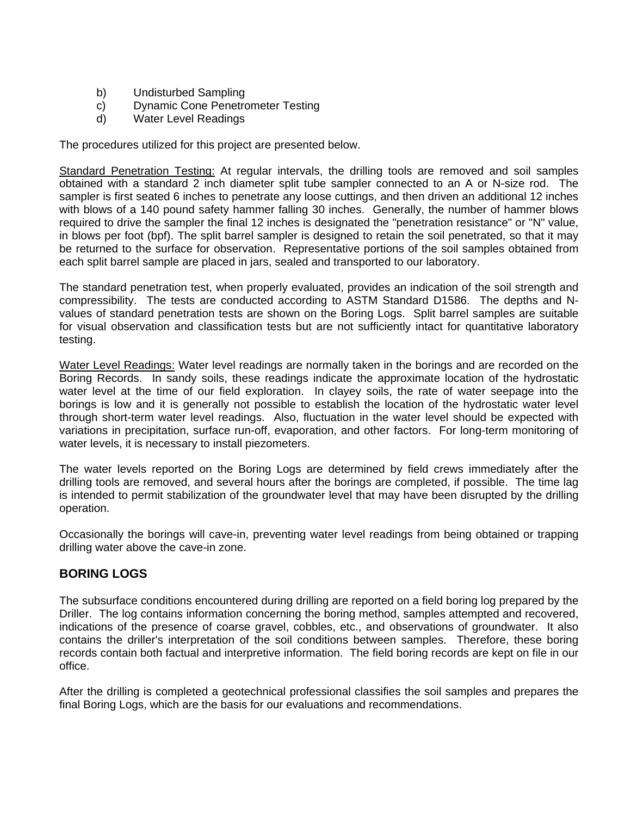- b) Undisturbed Sampling
- c) Dynamic Cone Penetrometer Testing
- d) Water Level Readings

The procedures utilized for this project are presented below.

Standard Penetration Testing: At regular intervals, the drilling tools are removed and soil samples obtained with a standard 2 inch diameter split tube sampler connected to an A or N-size rod. The sampler is first seated 6 inches to penetrate any loose cuttings, and then driven an additional 12 inches with blows of a 140 pound safety hammer falling 30 inches. Generally, the number of hammer blows required to drive the sampler the final 12 inches is designated the "penetration resistance" or "N" value, in blows per foot (bpf). The split barrel sampler is designed to retain the soil penetrated, so that it may be returned to the surface for observation. Representative portions of the soil samples obtained from each split barrel sample are placed in jars, sealed and transported to our laboratory.

The standard penetration test, when properly evaluated, provides an indication of the soil strength and compressibility. The tests are conducted according to ASTM Standard D1586. The depths and Nvalues of standard penetration tests are shown on the Boring Logs. Split barrel samples are suitable for visual observation and classification tests but are not sufficiently intact for quantitative laboratory testing.

Water Level Readings: Water level readings are normally taken in the borings and are recorded on the Boring Records. In sandy soils, these readings indicate the approximate location of the hydrostatic water level at the time of our field exploration. In clayey soils, the rate of water seepage into the borings is low and it is generally not possible to establish the location of the hydrostatic water level through short-term water level readings. Also, fluctuation in the water level should be expected with variations in precipitation, surface run-off, evaporation, and other factors. For long-term monitoring of water levels, it is necessary to install piezometers.

The water levels reported on the Boring Logs are determined by field crews immediately after the drilling tools are removed, and several hours after the borings are completed, if possible. The time lag is intended to permit stabilization of the groundwater level that may have been disrupted by the drilling operation.

Occasionally the borings will cave-in, preventing water level readings from being obtained or trapping drilling water above the cave-in zone.

## **BORING LOGS**

The subsurface conditions encountered during drilling are reported on a field boring log prepared by the Driller. The log contains information concerning the boring method, samples attempted and recovered, indications of the presence of coarse gravel, cobbles, etc., and observations of groundwater. It also contains the driller's interpretation of the soil conditions between samples. Therefore, these boring records contain both factual and interpretive information. The field boring records are kept on file in our office.

After the drilling is completed a geotechnical professional classifies the soil samples and prepares the final Boring Logs, which are the basis for our evaluations and recommendations.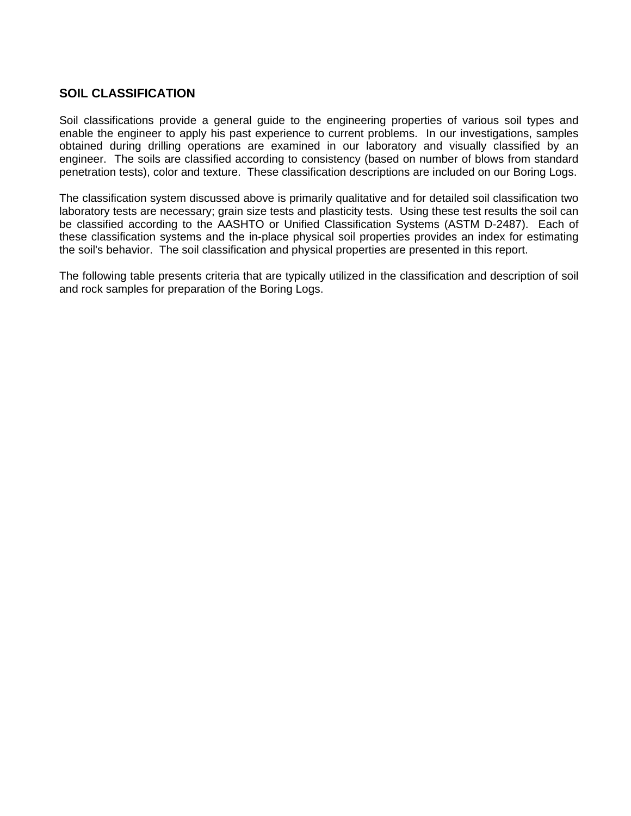#### **SOIL CLASSIFICATION**

Soil classifications provide a general guide to the engineering properties of various soil types and enable the engineer to apply his past experience to current problems. In our investigations, samples obtained during drilling operations are examined in our laboratory and visually classified by an engineer. The soils are classified according to consistency (based on number of blows from standard penetration tests), color and texture. These classification descriptions are included on our Boring Logs.

The classification system discussed above is primarily qualitative and for detailed soil classification two laboratory tests are necessary; grain size tests and plasticity tests. Using these test results the soil can be classified according to the AASHTO or Unified Classification Systems (ASTM D-2487). Each of these classification systems and the in-place physical soil properties provides an index for estimating the soil's behavior. The soil classification and physical properties are presented in this report.

The following table presents criteria that are typically utilized in the classification and description of soil and rock samples for preparation of the Boring Logs.